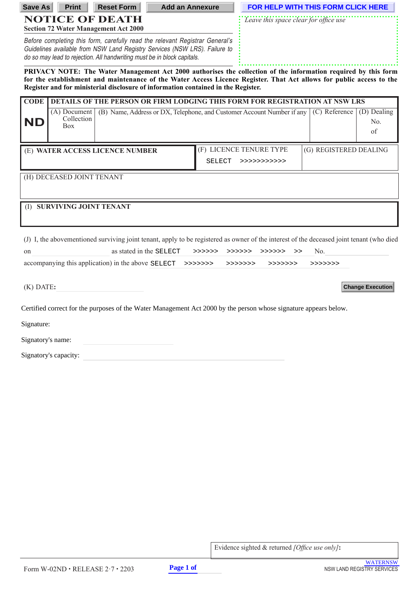| <b>Save As</b>                                                                                                                                                                                                                                                                                                              | <b>Print</b>                             | <b>Reset Form</b>                           | <b>Add an Annexure</b>                                                                                                                                                                                                                |                | FOR HELP WITH THIS FORM CLICK HERE                                                                                                       |                        |                          |  |
|-----------------------------------------------------------------------------------------------------------------------------------------------------------------------------------------------------------------------------------------------------------------------------------------------------------------------------|------------------------------------------|---------------------------------------------|---------------------------------------------------------------------------------------------------------------------------------------------------------------------------------------------------------------------------------------|----------------|------------------------------------------------------------------------------------------------------------------------------------------|------------------------|--------------------------|--|
|                                                                                                                                                                                                                                                                                                                             |                                          | <b>NOTICE OF DEATH</b>                      |                                                                                                                                                                                                                                       |                | Leave this space clear for office use                                                                                                    |                        |                          |  |
|                                                                                                                                                                                                                                                                                                                             |                                          | <b>Section 72 Water Management Act 2000</b> |                                                                                                                                                                                                                                       |                |                                                                                                                                          |                        |                          |  |
|                                                                                                                                                                                                                                                                                                                             |                                          |                                             | Before completing this form, carefully read the relevant Registrar General's<br>Guidelines available from NSW Land Registry Services (NSW LRS). Failure to<br>do so may lead to rejection. All handwriting must be in block capitals. |                |                                                                                                                                          |                        |                          |  |
| PRIVACY NOTE: The Water Management Act 2000 authorises the collection of the information required by this form<br>for the establishment and maintenance of the Water Access Licence Register. That Act allows for public access to the<br>Register and for ministerial disclosure of information contained in the Register. |                                          |                                             |                                                                                                                                                                                                                                       |                |                                                                                                                                          |                        |                          |  |
| <b>CODE</b>                                                                                                                                                                                                                                                                                                                 |                                          |                                             |                                                                                                                                                                                                                                       |                | DETAILS OF THE PERSON OR FIRM LODGING THIS FORM FOR REGISTRATION AT NSW LRS                                                              |                        |                          |  |
| ND                                                                                                                                                                                                                                                                                                                          | (A) Document<br>Collection<br><b>Box</b> |                                             |                                                                                                                                                                                                                                       |                | (B) Name, Address or DX, Telephone, and Customer Account Number if any                                                                   | (C) Reference          | (D) Dealing<br>No.<br>of |  |
|                                                                                                                                                                                                                                                                                                                             |                                          | (E) WATER ACCESS LICENCE NUMBER             |                                                                                                                                                                                                                                       |                | (F) LICENCE TENURE TYPE                                                                                                                  | (G) REGISTERED DEALING |                          |  |
|                                                                                                                                                                                                                                                                                                                             |                                          |                                             |                                                                                                                                                                                                                                       | SELECT         | >>>>>>>>>>>>                                                                                                                             |                        |                          |  |
| (H) DECEASED JOINT TENANT                                                                                                                                                                                                                                                                                                   |                                          |                                             |                                                                                                                                                                                                                                       |                |                                                                                                                                          |                        |                          |  |
| (I) SURVIVING JOINT TENANT                                                                                                                                                                                                                                                                                                  |                                          |                                             |                                                                                                                                                                                                                                       |                |                                                                                                                                          |                        |                          |  |
|                                                                                                                                                                                                                                                                                                                             |                                          |                                             |                                                                                                                                                                                                                                       |                | (J) I, the abovementioned surviving joint tenant, apply to be registered as owner of the interest of the deceased joint tenant (who died |                        |                          |  |
| on                                                                                                                                                                                                                                                                                                                          |                                          |                                             | as stated in the SELECT                                                                                                                                                                                                               | >>>>>> >>>>>>> | >>>>>>><br>>                                                                                                                             | No.                    |                          |  |
| accompanying this application) in the above SELECT >>>>>>>><br>>>>>>>>><br>>>>>>>>><br>>>>>>>>>                                                                                                                                                                                                                             |                                          |                                             |                                                                                                                                                                                                                                       |                |                                                                                                                                          |                        |                          |  |
| $(K)$ DATE:                                                                                                                                                                                                                                                                                                                 |                                          |                                             |                                                                                                                                                                                                                                       |                |                                                                                                                                          |                        | <b>Change Execution</b>  |  |
| Certified correct for the purposes of the Water Management Act 2000 by the person whose signature appears below.                                                                                                                                                                                                            |                                          |                                             |                                                                                                                                                                                                                                       |                |                                                                                                                                          |                        |                          |  |
| Signature:                                                                                                                                                                                                                                                                                                                  |                                          |                                             |                                                                                                                                                                                                                                       |                |                                                                                                                                          |                        |                          |  |
| Signatory's name:                                                                                                                                                                                                                                                                                                           |                                          |                                             |                                                                                                                                                                                                                                       |                |                                                                                                                                          |                        |                          |  |
| Signatory's capacity:                                                                                                                                                                                                                                                                                                       |                                          |                                             |                                                                                                                                                                                                                                       |                |                                                                                                                                          |                        |                          |  |

Evidence sighted & returned *[Office use only]***:**